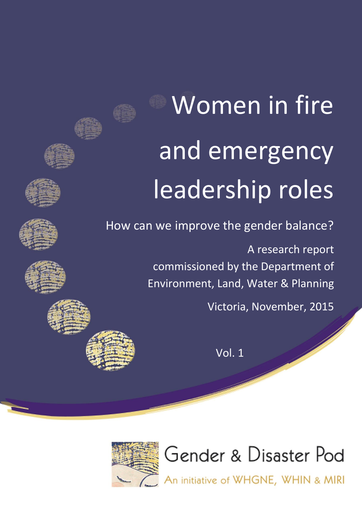# Women in fire and emergency leadership roles

How can we improve the gender balance?

A research report commissioned by the Department of Environment, Land, Water & Planning

Victoria, November, 2015

Vol. 1



Gender & Disaster Pod

An initiative of WHGNE, WHIN & MIRI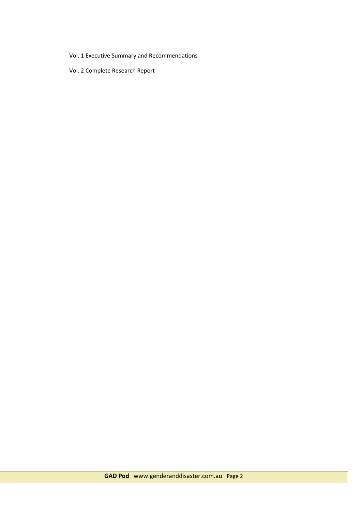Vol. 1 Executive Summary and Recommendations

Vol. 2 Complete Research Report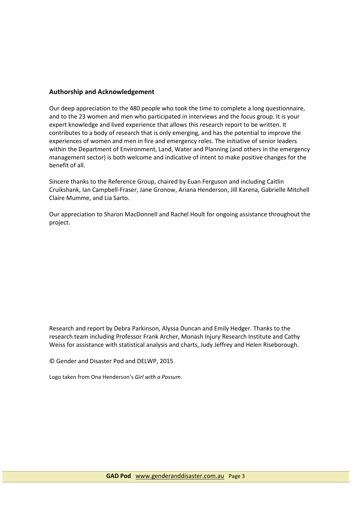## **Authorship and Acknowledgement**

Our deep appreciation to the 480 people who took the time to complete a long questionnaire, and to the 23 women and men who participated in interviews and the focus group. It is your expert knowledge and lived experience that allows this research report to be written. It contributes to a body of research that is only emerging, and has the potential to improve the experiences of women and men in fire and emergency roles. The initiative of senior leaders within the Department of Environment, Land, Water and Planning (and others in the emergency management sector) is both welcome and indicative of intent to make positive changes for the benefit of all.

Sincere thanks to the Reference Group, chaired by Euan Ferguson and including Caitlin Cruikshank, Ian Campbell-Fraser, Jane Gronow, Ariana Henderson, Jill Karena, Gabrielle Mitchell Claire Mumme, and Lia Sarto.

Our appreciation to Sharon MacDonnell and Rachel Hoult for ongoing assistance throughout the project.

Research and report by Debra Parkinson, Alyssa Duncan and Emily Hedger. Thanks to the research team including Professor Frank Archer, Monash Injury Research Institute and Cathy Weiss for assistance with statistical analysis and charts, Judy Jeffrey and Helen Riseborough.

© Gender and Disaster Pod and DELWP, 2015

Logo taken from Ona Henderson's *Girl with a Possum*.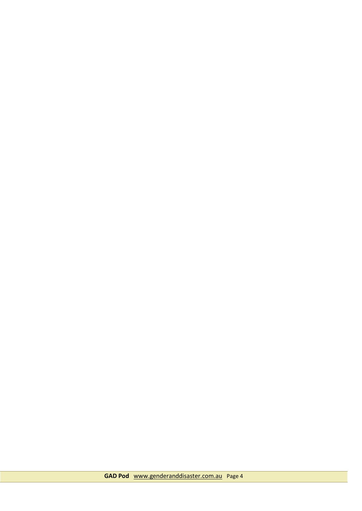**GAD Pod** [www.genderanddisaster.com.au](http://www.genderanddisaster.com.au/)Page 4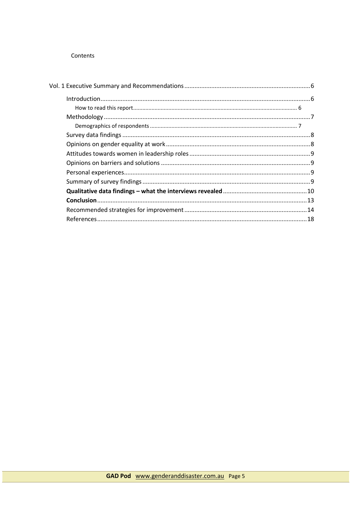# Contents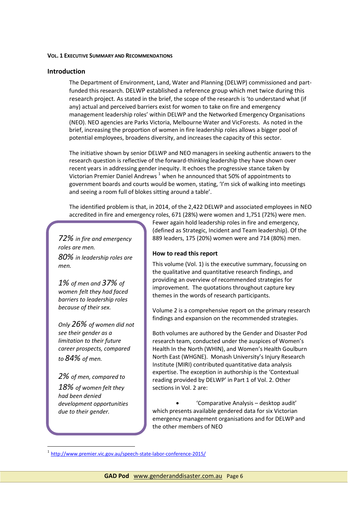#### <span id="page-5-0"></span>**VOL. 1 EXECUTIVE SUMMARY AND RECOMMENDATIONS**

#### <span id="page-5-1"></span>**Introduction**

The Department of Environment, Land, Water and Planning (DELWP) commissioned and partfunded this research. DELWP established a reference group which met twice during this research project. As stated in the brief, the scope of the research is 'to understand what (if any) actual and perceived barriers exist for women to take on fire and emergency management leadership roles' within DELWP and the Networked Emergency Organisations (NEO). NEO agencies are Parks Victoria, Melbourne Water and VicForests. As noted in the brief, increasing the proportion of women in fire leadership roles allows a bigger pool of potential employees, broadens diversity, and increases the capacity of this sector.

The initiative shown by senior DELWP and NEO managers in seeking authentic answers to the research question is reflective of the forward-thinking leadership they have shown over recent years in addressing gender inequity. It echoes the progressive stance taken by Victorian Premier Daniel Andrews<sup>1</sup> when he announced that 50% of appointments to government boards and courts would be women, stating, 'I'm sick of walking into meetings and seeing a room full of blokes sitting around a table'.

The identified problem is that, in 2014, of the 2,422 DELWP and associated employees in NEO accredited in fire and emergency roles, 671 (28%) were women and 1,751 (72%) were men.

*72% in fire and emergency roles are men. 80% in leadership roles are men.* 

*1% of men and 37% of women felt they had faced barriers to leadership roles because of their sex.* 

*Only 26% of women did not see their gender as a limitation to their future career prospects, compared to 84% of men.* 

*2% of men, compared to* 

*18% of women felt they had been denied development opportunities due to their gender.*

1

Fewer again hold leadership roles in fire and emergency, (defined as Strategic, Incident and Team leadership). Of the 889 leaders, 175 (20%) women were and 714 (80%) men.

#### <span id="page-5-2"></span>**How to read this report**

This volume (Vol. 1) is the executive summary, focussing on the qualitative and quantitative research findings, and providing an overview of recommended strategies for improvement. The quotations throughout capture key themes in the words of research participants.

Volume 2 is a comprehensive report on the primary research findings and expansion on the recommended strategies.

Both volumes are authored by the Gender and Disaster Pod research team, conducted under the auspices of Women's Health In the North (WHIN), and Women's Health Goulburn North East (WHGNE). Monash University's Injury Research Institute (MIRI) contributed quantitative data analysis expertise. The exception in authorship is the 'Contextual reading provided by DELWP' in Part 1 of Vol. 2. Other sections in Vol. 2 are:

 'Comparative Analysis – desktop audit' which presents available gendered data for six Victorian emergency management organisations and for DELWP and the other members of NEO

<sup>1</sup> <http://www.premier.vic.gov.au/speech-state-labor-conference-2015/>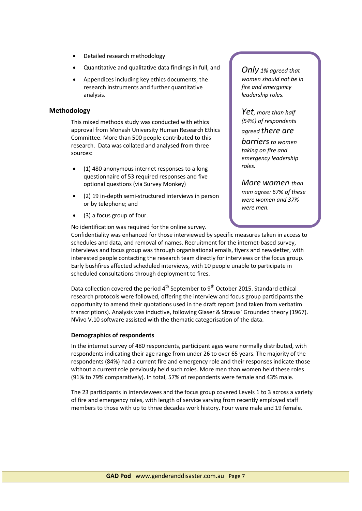- Detailed research methodology
- Quantitative and qualitative data findings in full, and
- Appendices including key ethics documents, the research instruments and further quantitative analysis.

#### <span id="page-6-0"></span>**Methodology**

This mixed methods study was conducted with ethics approval from Monash University Human Research Ethics Committee. More than 500 people contributed to this research. Data was collated and analysed from three sources:

- (1) 480 anonymous internet responses to a long questionnaire of 53 required responses and five optional questions (via Survey Monkey)
- (2) 19 in-depth semi-structured interviews in person or by telephone; and
- (3) a focus group of four.

No identification was required for the online survey.

# *Only 1% agreed that women should not be in fire and emergency leadership roles.*

*Yet, more than half (54%) of respondents agreed there are* 

*barriersto women taking on fire and emergency leadership roles.* 

*More women than men agree: 67% of these were women and 37% were men.* 

**should not be in fire** 

Confidentiality was enhanced for those interviewed by specific measures taken in access to **and emergency**  schedules and data, and removal of names. Recruitment for the internet-based survey, interviews and focus group was through organisational emails, flyers and newsletter, with **more than half**  interested people contacting the research team directly for interviews or the focus group.<br>Farly hushfires offected schoduled interviews, with 10 people unable to pertisipate in Early bushfires affected scheduled interviews, with 10 people unable to participate in<br>scheduled consultations through deployment to fires scheduled consultations through deployment to fires.

Data collection covered the period 4<sup>th</sup> September to 9<sup>th</sup> October 2015. Standard ethical research protocols were followed, offering the interview and focus group participants the opportunity to amend their quotations used in the draft report (and taken from verbatim **emergency**  transcriptions). Analysis was inductive, following Glaser & Strauss' Grounded theory (1967). NVivo V.10 software assisted with the thematic categorisation of the data.

#### <span id="page-6-1"></span>**Demographics of respondents**

In the internet survey of 480 respondents, participant ages were normally distributed, with respondents indicating their age range from under 26 to over 65 years. The majority of the respondents malcating their age range from under 20 to over 65 years. The majority of the respondents (84%) had a current fire and emergency role and their responses indicate those without a current role previously held such roles. More men than women held these roles (91% to 79% comparatively). In total, 57% of respondents were female and 43% male.

The 23 participants in interviewees and the focus group covered Levels 1 to 3 across a variety of fire and emergency roles, with length of service varying from recently employed staff members to those with up to three decades work history. Four were male and 19 female.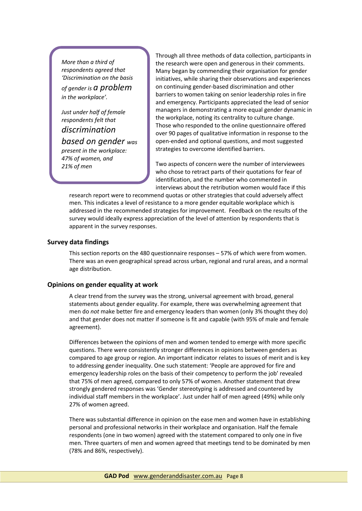*More than a third of respondents agreed that 'Discrimination on the basis of gender is a problem in the workplace'.*

*Just under half of female respondents felt that* 

*discrimination based on gender was present in the workplace: 47% of women, and 21% of men* 

Through all three methods of data collection, participants in the research were open and generous in their comments. Many began by commending their organisation for gender initiatives, while sharing their observations and experiences on continuing gender-based discrimination and other barriers to women taking on senior leadership roles in fire and emergency. Participants appreciated the lead of senior managers in demonstrating a more equal gender dynamic in the workplace, noting its centrality to culture change. Those who responded to the online questionnaire offered over 90 pages of qualitative information in response to the open-ended and optional questions, and most suggested strategies to overcome identified barriers.

Two aspects of concern were the number of interviewees who chose to retract parts of their quotations for fear of identification, and the number who commented in interviews about the retribution women would face if this

research report were to recommend quotas or other strategies that could adversely affect men. This indicates a level of resistance to a more gender equitable workplace which is addressed in the recommended strategies for improvement. Feedback on the results of the survey would ideally express appreciation of the level of attention by respondents that is apparent in the survey responses.

## <span id="page-7-0"></span>**Survey data findings**

This section reports on the 480 questionnaire responses – 57% of which were from women. There was an even geographical spread across urban, regional and rural areas, and a normal age distribution.

## <span id="page-7-1"></span>**Opinions on gender equality at work**

A clear trend from the survey was the strong, universal agreement with broad, general statements about gender equality. For example, there was overwhelming agreement that men do *not* make better fire and emergency leaders than women (only 3% thought they do) and that gender does not matter if someone is fit and capable (with 95% of male and female agreement).

Differences between the opinions of men and women tended to emerge with more specific questions. There were consistently stronger differences in opinions between genders as compared to age group or region. An important indicator relates to issues of merit and is key to addressing gender inequality. One such statement: 'People are approved for fire and emergency leadership roles on the basis of their competency to perform the job' revealed that 75% of men agreed, compared to only 57% of women. Another statement that drew strongly gendered responses was 'Gender stereotyping is addressed and countered by individual staff members in the workplace'. Just under half of men agreed (49%) while only 27% of women agreed.

There was substantial difference in opinion on the ease men and women have in establishing personal and professional networks in their workplace and organisation. Half the female respondents (one in two women) agreed with the statement compared to only one in five men. Three quarters of men and women agreed that meetings tend to be dominated by men (78% and 86%, respectively).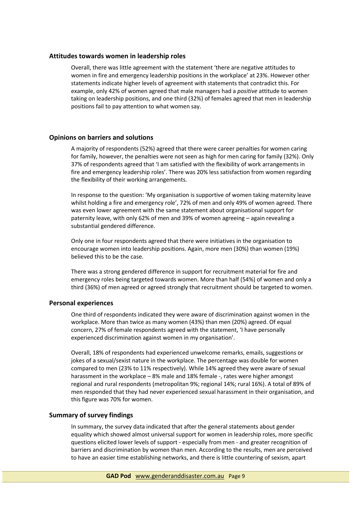## <span id="page-8-0"></span>**Attitudes towards women in leadership roles**

Overall, there was little agreement with the statement 'there are negative attitudes to women in fire and emergency leadership positions in the workplace' at 23%. However other statements indicate higher levels of agreement with statements that contradict this. For example, only 42% of women agreed that male managers had a *positive* attitude to women taking on leadership positions, and one third (32%) of females agreed that men in leadership positions fail to pay attention to what women say.

#### <span id="page-8-1"></span>**Opinions on barriers and solutions**

A majority of respondents (52%) agreed that there were career penalties for women caring for family, however, the penalties were not seen as high for men caring for family (32%). Only 37% of respondents agreed that 'I am satisfied with the flexibility of work arrangements in fire and emergency leadership roles'. There was 20% less satisfaction from women regarding the flexibility of their working arrangements.

In response to the question: 'My organisation is supportive of women taking maternity leave whilst holding a fire and emergency role', 72% of men and only 49% of women agreed. There was even lower agreement with the same statement about organisational support for paternity leave, with only 62% of men and 39% of women agreeing – again revealing a substantial gendered difference.

Only one in four respondents agreed that there were initiatives in the organisation to encourage women into leadership positions. Again, more men (30%) than women (19%) believed this to be the case.

There was a strong gendered difference in support for recruitment material for fire and emergency roles being targeted towards women. More than half (54%) of women and only a third (36%) of men agreed or agreed strongly that recruitment should be targeted to women.

## <span id="page-8-2"></span>**Personal experiences**

One third of respondents indicated they were aware of discrimination against women in the workplace. More than twice as many women (43%) than men (20%) agreed. Of equal concern, 27% of female respondents agreed with the statement, 'I have personally experienced discrimination against women in my organisation'.

Overall, 18% of respondents had experienced unwelcome remarks, emails, suggestions or jokes of a sexual/sexist nature in the workplace. The percentage was double for women compared to men (23% to 11% respectively). While 14% agreed they were aware of sexual harassment in the workplace – 8% male and 18% female -, rates were higher amongst regional and rural respondents (metropolitan 9%; regional 14%; rural 16%). A total of 89% of men responded that they had never experienced sexual harassment in their organisation, and this figure was 70% for women.

#### <span id="page-8-3"></span>**Summary of survey findings**

In summary, the survey data indicated that after the general statements about gender equality which showed almost universal support for women in leadership roles, more specific questions elicited lower levels of support - especially from men - and greater recognition of barriers and discrimination by women than men. According to the results, men are perceived to have an easier time establishing networks, and there is little countering of sexism, apart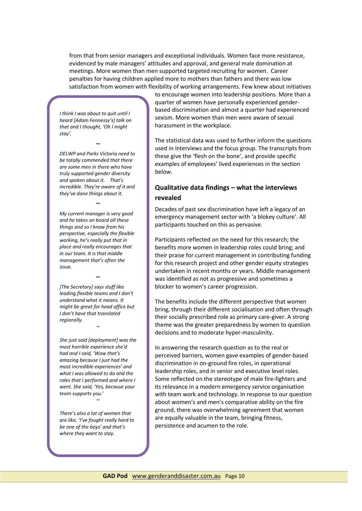from that from senior managers and exceptional individuals. Women face more resistance, evidenced by male managers' attitudes and approval, and general male domination at meetings. More women than men supported targeted recruiting for women. Career penalties for having children applied more to mothers than fathers and there was low satisfaction from women with flexibility of working arrangements. Few knew about initiatives

*I think I was about to quit until I heard [Adam Fennessy's] talk on that and I thought, 'Oh I might stay'.* 

*DELWP and Parks Victoria need to be totally commended that there are some men in there who have truly supported gender diversity and spoken about it. That's incredible. They're aware of it and they've done things about it.* 

*~*

*~*

*My current manager is very good and he takes on board all these things and so I know from his perspective, especially the flexible working, he's really put that in place and really encourages that in our team. It is that middle management that's often the issue.*

*[The Secretary] says stuff like leading flexible teams and I don't understand what it means. It might be great for head office but I don't have that translated regionally.*

*~*

*~*

*She just said [deployment] was the most horrible experience she'd had and I said, 'Wow that's amazing because I just had the most incredible experiences' and what I was allowed to do and the roles that I performed and where I went. She said, 'Yes, because your team supports you.' ~*

*There's also a lot of women that are like, 'I've fought really hard to be one of the boys' and that's where they want to stay.*

to encourage women into leadership positions. More than a quarter of women have personally experienced genderbased discrimination and almost a quarter had experienced sexism. More women than men were aware of sexual harassment in the workplace.

The statistical data was used to further inform the questions used in interviews and the focus group. The transcripts from these give the 'flesh on the bone', and provide specific examples of employees' lived experiences in the section below.

# <span id="page-9-0"></span>**Qualitative data findings – what the interviews revealed**

Decades of past sex discrimination have left a legacy of an emergency management sector with 'a blokey culture'. All participants touched on this as pervasive.

Participants reflected on the need for this research; the benefits more women in leadership roles could bring; and their praise for current management in contributing funding for this research project and other gender equity strategies undertaken in recent months or years. Middle management was identified as not as progressive and sometimes a blocker to women's career progression.

The benefits include the different perspective that women bring, through their different socialisation and often through their socially prescribed role as primary care-giver. A strong theme was the greater preparedness by women to question decisions and to moderate hyper-masculinity.

In answering the research question as to the real or perceived barriers, women gave examples of gender-based discrimination in on-ground fire roles, in operational leadership roles, and in senior and executive level roles. Some reflected on the stereotype of male fire-fighters and its relevance in a modern emergency service organisation with team work and technology. In response to our question about women's and men's comparative ability on the fire ground, there was overwhelming agreement that women are equally valuable in the team, bringing fitness, persistence and acumen to the role.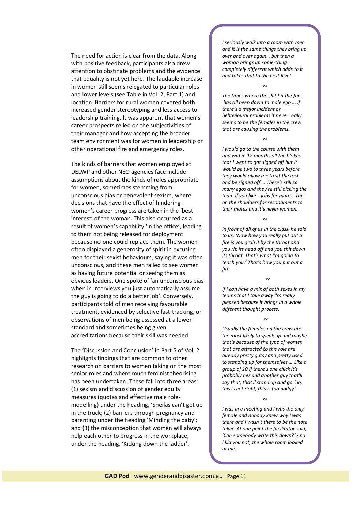The need for action is clear from the data. Along with positive feedback, participants also drew attention to obstinate problems and the evidence that equality is not yet here. The laudable increase in women still seems relegated to particular roles and lower levels (see Table in Vol. 2, Part 1) and location. Barriers for rural women covered both increased gender stereotyping and less access to leadership training. It was apparent that women's career prospects relied on the subjectivities of their manager and how accepting the broader team environment was for women in leadership or other operational fire and emergency roles.

The kinds of barriers that women employed at DELWP and other NEO agencies face include assumptions about the kinds of roles appropriate for women, sometimes stemming from unconscious bias or benevolent sexism, where decisions that have the effect of hindering women's career progress are taken in the 'best interest' of the woman. This also occurred as a result of women's capability 'in the office', leading to them not being released for deployment because no-one could replace them. The women often displayed a generosity of spirit in excusing men for their sexist behaviours, saying it was often unconscious, and these men failed to see women as having future potential or seeing them as obvious leaders. One spoke of 'an unconscious bias when in interviews you just automatically assume the guy is going to do a better job'. Conversely, participants told of men receiving favourable treatment, evidenced by selective fast-tracking, or observations of men being assessed at a lower standard and sometimes being given accreditations because their skill was needed.

The 'Discussion and Conclusion' in Part 5 of Vol. 2 highlights findings that are common to other research on barriers to women taking on the most senior roles and where much feminist theorising has been undertaken. These fall into three areas: (1) sexism and discussion of gender equity measures (quotas and effective male rolemodelling) under the heading, 'Sheilas can't get up in the truck; (2) barriers through pregnancy and parenting under the heading 'Minding the baby'; and (3) the misconception that women will always help each other to progress in the workplace, under the heading, 'Kicking down the ladder'.

*I seriously walk into a room with men and it is the same things they bring up over and over again… but then a woman brings up some-thing completely different which adds to it and takes that to the next level.* 

*The times where the shit hit the fan … has all been down to male ego … If there's a major incident or behavioural problems it never really seems to be the females in the crew that are causing the problems.*

*~*

*~*

*I would go to the course with them and within 12 months all the blokes that I went to got signed off but it would be two to three years before they would allow me to sit the test and be signed off … There's still so many egos and they're still picking the team if you like …jobs for mates. Taps on the shoulders for secondments to their mates and it's never women.*

*In front of all of us in the class, he said to us, 'Now how you really put out a fire is you grab it by the throat and you rip its head off and you shit down its throat. That's what I'm going to teach you.' That's how you put out a fire.* 

*~*

*If I can have a mix of both sexes in my teams that I take away I'm really pleased because it brings in a whole different thought process.* 

*~*

 *~*

*Usually the females on the crew are the most likely to speak up and maybe that's because of the type of women that are attracted to this role are already pretty gutsy and pretty used to standing up for themselves … Like a group of 10 if there's one chick it's probably her and another guy that'll say that, that'll stand up and go 'no, this is not right, this is too dodgy'.* 

*I was in a meeting and I was the only female and nobody knew why I was there and I wasn't there to be the note taker. At one point the facilitator said, 'Can somebody write this down?' And I kid you not, the whole room looked at me.* 

*~*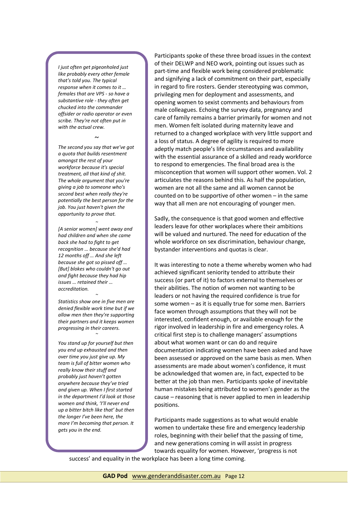*I just often get pigeonholed just like probably every other female that's told you. The typical response when it comes to it … females that are VPS - so have a substantive role - they often get chucked into the commander offsider or radio operator or even scribe. They're not often put in with the actual crew.* 

*The second you say that we've got a quota that builds resentment amongst the rest of your workforce because it's special treatment, all that kind of shit. The whole argument that you're giving a job to someone who's second best when really they're potentially the best person for the job. You just haven't given the opportunity to prove that.*

*~*

*~ [A senior women] went away and had children and when she came back she had to fight to get recognition … because she'd had 12 months off … And she left because she got so pissed off … [But] blokes who couldn't go out and fight because they had hip issues … retained their … accreditation.*

*Statistics show one in five men are denied flexible work time but if we allow men then they're supporting their partners and it keeps women progressing in their careers.* 

*~*

*~*

*You stand up for yourself but then you end up exhausted and then over time you just give up. My team is full of bitter women who really know their stuff and probably just haven't gotten anywhere because they've tried and given up. When I first started in the department I'd look at those women and think, 'I'll never end up a bitter bitch like that' but then the longer I've been here, the more I'm becoming that person. It gets you in the end.* 

Participants spoke of these three broad issues in the context of their DELWP and NEO work, pointing out issues such as part-time and flexible work being considered problematic and signifying a lack of commitment on their part, especially in regard to fire rosters. Gender stereotyping was common, privileging men for deployment and assessments, and opening women to sexist comments and behaviours from male colleagues. Echoing the survey data, pregnancy and care of family remains a barrier primarily for women and not men. Women felt isolated during maternity leave and returned to a changed workplace with very little support and a loss of status. A degree of agility is required to more adeptly match people's life circumstances and availability with the essential assurance of a skilled and ready workforce to respond to emergencies. The final broad area is the misconception that women will support other women. Vol. 2 articulates the reasons behind this. As half the population, women are not all the same and all women cannot be counted on to be supportive of other women – in the same way that all men are not encouraging of younger men.

Sadly, the consequence is that good women and effective leaders leave for other workplaces where their ambitions will be valued and nurtured. The need for education of the whole workforce on sex discrimination, behaviour change, bystander interventions and quotas is clear.

It was interesting to note a theme whereby women who had achieved significant seniority tended to attribute their success (or part of it) to factors external to themselves or their abilities. The notion of women not wanting to be leaders or not having the required confidence is true for some women – as it is equally true for some men. Barriers face women through assumptions that they will not be interested, confident enough, or available enough for the rigor involved in leadership in fire and emergency roles. A critical first step is to challenge managers' assumptions about what women want or can do and require documentation indicating women have been asked and have been assessed or approved on the same basis as men. When assessments are made about women's confidence, it must be acknowledged that women are, in fact, expected to be better at the job than men. Participants spoke of inevitable human mistakes being attributed to women's gender as the cause – reasoning that is never applied to men in leadership positions.

Participants made suggestions as to what would enable women to undertake these fire and emergency leadership roles, beginning with their belief that the passing of time, and new generations coming in will assist in progress towards equality for women. However, 'progress is not

success' and equality in the workplace has been a long time coming.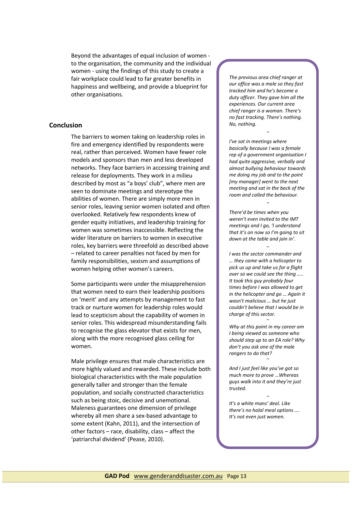Beyond the advantages of equal inclusion of women to the organisation, the community and the individual women - using the findings of this study to create a fair workplace could lead to far greater benefits in happiness and wellbeing, and provide a blueprint for other organisations.

## <span id="page-12-0"></span>**Conclusion**

The barriers to women taking on leadership roles in fire and emergency identified by respondents were real, rather than perceived. Women have fewer role models and sponsors than men and less developed networks. They face barriers in accessing training and release for deployments. They work in a milieu described by most as "a boys' club", where men are seen to dominate meetings and stereotype the abilities of women. There are simply more men in senior roles, leaving senior women isolated and often overlooked. Relatively few respondents knew of gender equity initiatives, and leadership training for women was sometimes inaccessible. Reflecting the wider literature on barriers to women in executive roles, key barriers were threefold as described above – related to career penalties not faced by men for family responsibilities, sexism and assumptions of women helping other women's careers.

Some participants were under the misapprehension that women need to earn their leadership positions on 'merit' and any attempts by management to fast track or nurture women for leadership roles would lead to scepticism about the capability of women in senior roles. This widespread misunderstanding fails to recognise the glass elevator that exists for men, along with the more recognised glass ceiling for women.

Male privilege ensures that male characteristics are more highly valued and rewarded. These include both biological characteristics with the male population generally taller and stronger than the female population, and socially constructed characteristics such as being stoic, decisive and unemotional. Maleness guarantees one dimension of privilege whereby all men share a sex-based advantage to some extent (Kahn, 2011), and the intersection of other factors – race, disability, class – affect the 'patriarchal dividend' (Pease, 2010).

*The previous area chief ranger at our office was a male so they fast tracked him and he's become a duty officer. They gave him all the experiences. Our current area chief ranger is a woman. There's no fast tracking. There's nothing. No, nothing.* 

*~*

*I've sat in meetings where basically because I was a female rep of a government organisation I had quite aggressive, verbally and almost bullying behaviour towards me doing my job and to the point [my manager] went to the next meeting and sat in the back of the room and called the behaviour.* 

*There'd be times when you weren't even invited to the IMT meetings and I go, 'I understand that it's on now so I'm going to sit down at the table and join in'.*

*~*

*~*

*I was the sector commander and … they came with a helicopter to pick us up and take us for a flight over so we could see the thing ….. It took this guy probably four times before I was allowed to get in the helicopter and go … Again it wasn't malicious … but he just couldn't believe that I would be in charge of this sector.* 

*Why at this point in my career am I being viewed as someone who should step up to an EA role? Why don't you ask one of the male rangers to do that?*

*~*

*~*

*And I just feel like you've got so much more to prove …Whereas guys walk into it and they're just trusted.* 

*~*

*It's a white mans' deal. Like there's no halal meal options …. It's not even just women.*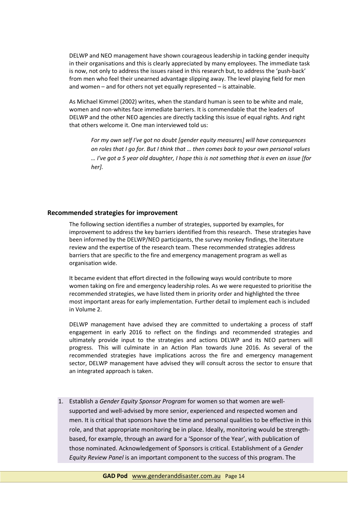DELWP and NEO management have shown courageous leadership in tacking gender inequity in their organisations and this is clearly appreciated by many employees. The immediate task is now, not only to address the issues raised in this research but, to address the 'push-back' from men who feel their unearned advantage slipping away. The level playing field for men and women – and for others not yet equally represented – is attainable.

As Michael Kimmel (2002) writes, when the standard human is seen to be white and male, women and non-whites face immediate barriers. It is commendable that the leaders of DELWP and the other NEO agencies are directly tackling this issue of equal rights. And right that others welcome it. One man interviewed told us:

*For my own self I've got no doubt [gender equity measures] will have consequences on roles that I go for. But I think that … then comes back to your own personal values … I've got a 5 year old daughter, I hope this is not something that is even an issue [for her].*

### <span id="page-13-0"></span>**Recommended strategies for improvement**

The following section identifies a number of strategies, supported by examples, for improvement to address the key barriers identified from this research. These strategies have been informed by the DELWP/NEO participants, the survey monkey findings, the literature review and the expertise of the research team. These recommended strategies address barriers that are specific to the fire and emergency management program as well as organisation wide.

It became evident that effort directed in the following ways would contribute to more women taking on fire and emergency leadership roles. As we were requested to prioritise the recommended strategies, we have listed them in priority order and highlighted the three most important areas for early implementation. Further detail to implement each is included in Volume 2.

DELWP management have advised they are committed to undertaking a process of staff engagement in early 2016 to reflect on the findings and recommended strategies and ultimately provide input to the strategies and actions DELWP and its NEO partners will progress. This will culminate in an Action Plan towards June 2016. As several of the recommended strategies have implications across the fire and emergency management sector, DELWP management have advised they will consult across the sector to ensure that an integrated approach is taken.

1. Establish a *Gender Equity Sponsor Program* for women so that women are wellsupported and well-advised by more senior, experienced and respected women and men. It is critical that sponsors have the time and personal qualities to be effective in this role, and that appropriate monitoring be in place. Ideally, monitoring would be strengthbased, for example, through an award for a 'Sponsor of the Year', with publication of those nominated. Acknowledgement of Sponsors is critical. Establishment of a *Gender Equity Review Panel* is an important component to the success of this program. The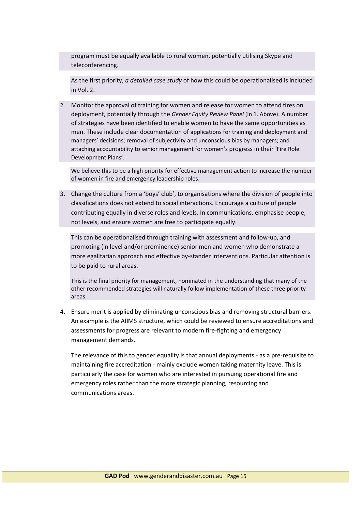program must be equally available to rural women, potentially utilising Skype and teleconferencing.

As the first priority, *a detailed case study* of how this could be operationalised is included in Vol. 2.

2. Monitor the approval of training for women and release for women to attend fires on deployment, potentially through the *Gender Equity Review Panel* (in 1. Above). A number of strategies have been identified to enable women to have the same opportunities as men. These include clear documentation of applications for training and deployment and managers' decisions; removal of subjectivity and unconscious bias by managers; and attaching accountability to senior management for women's progress in their 'Fire Role Development Plans'.

We believe this to be a high priority for effective management action to increase the number of women in fire and emergency leadership roles.

3. Change the culture from a 'boys' club', to organisations where the division of people into classifications does not extend to social interactions. Encourage a culture of people contributing equally in diverse roles and levels. In communications, emphasise people, not levels, and ensure women are free to participate equally.

This can be operationalised through training with assessment and follow-up, and promoting (in level and/or prominence) senior men and women who demonstrate a more egalitarian approach and effective by-stander interventions. Particular attention is to be paid to rural areas.

This is the final priority for management, nominated in the understanding that many of the other recommended strategies will naturally follow implementation of these three priority areas.

4. Ensure merit is applied by eliminating unconscious bias and removing structural barriers. An example is the AIIMS structure, which could be reviewed to ensure accreditations and assessments for progress are relevant to modern fire-fighting and emergency management demands.

The relevance of this to gender equality is that annual deployments - as a pre-requisite to maintaining fire accreditation - mainly exclude women taking maternity leave. This is particularly the case for women who are interested in pursuing operational fire and emergency roles rather than the more strategic planning, resourcing and communications areas.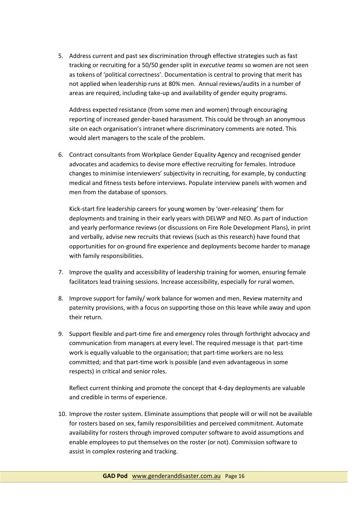5. Address current and past sex discrimination through effective strategies such as fast tracking or recruiting for a 50/50 gender split in *executive teams* so women are not seen as tokens of 'political correctness'. Documentation is central to proving that merit has not applied when leadership runs at 80% men. Annual reviews/audits in a number of areas are required, including take-up and availability of gender equity programs.

Address expected resistance (from some men and women) through encouraging reporting of increased gender-based harassment. This could be through an anonymous site on each organisation's intranet where discriminatory comments are noted. This would alert managers to the scale of the problem.

6. Contract consultants from Workplace Gender Equality Agency and recognised gender advocates and academics to devise more effective recruiting for females. Introduce changes to minimise interviewers' subjectivity in recruiting, for example, by conducting medical and fitness tests before interviews. Populate interview panels with women and men from the database of sponsors.

Kick-start fire leadership careers for young women by 'over-releasing' them for deployments and training in their early years with DELWP and NEO. As part of induction and yearly performance reviews (or discussions on Fire Role Development Plans), in print and verbally, advise new recruits that reviews (such as this research) have found that opportunities for on-ground fire experience and deployments become harder to manage with family responsibilities.

- 7. Improve the quality and accessibility of leadership training for women, ensuring female facilitators lead training sessions. Increase accessibility, especially for rural women.
- 8. Improve support for family/ work balance for women and men. Review maternity and paternity provisions, with a focus on supporting those on this leave while away and upon their return.
- 9. Support flexible and part-time fire and emergency roles through forthright advocacy and communication from managers at every level. The required message is that part-time work is equally valuable to the organisation; that part-time workers are no less committed; and that part-time work is possible (and even advantageous in some respects) in critical and senior roles.

Reflect current thinking and promote the concept that 4-day deployments are valuable and credible in terms of experience.

10. Improve the roster system. Eliminate assumptions that people will or will not be available for rosters based on sex, family responsibilities and perceived commitment. Automate availability for rosters through improved computer software to avoid assumptions and enable employees to put themselves on the roster (or not). Commission software to assist in complex rostering and tracking.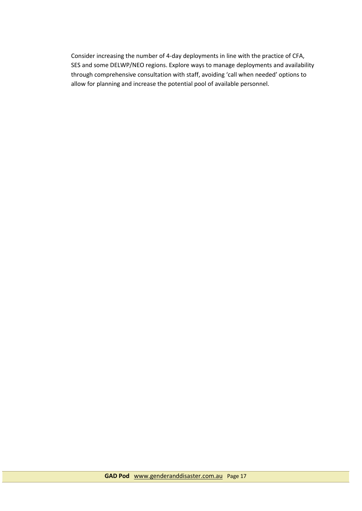Consider increasing the number of 4-day deployments in line with the practice of CFA, SES and some DELWP/NEO regions. Explore ways to manage deployments and availability through comprehensive consultation with staff, avoiding 'call when needed' options to allow for planning and increase the potential pool of available personnel.